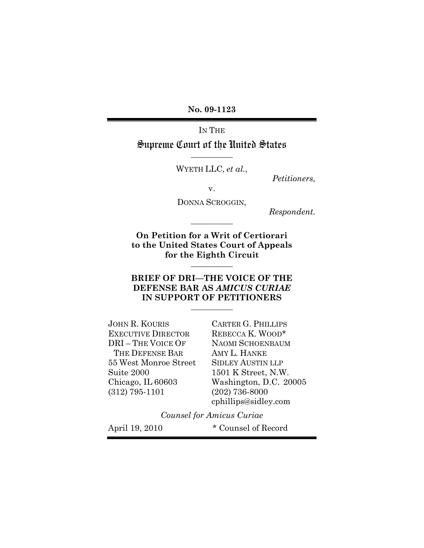**No. 09-1123**

IN THE Supreme Court of the United States

WYETH LLC, *et al.*,

**\_\_\_\_\_\_\_\_\_\_\_**

*Petitioners,*

v.

DONNA SCROGGIN,

**\_\_\_\_\_\_\_\_\_\_\_**

*Respondent.*

**On Petition for a Writ of Certiorari to the United States Court of Appeals for the Eighth Circuit**

**\_\_\_\_\_\_\_\_\_\_\_**

## **BRIEF OF DRI—THE VOICE OF THE DEFENSE BAR AS** *AMICUS CURIAE* **IN SUPPORT OF PETITIONERS**

**\_\_\_\_\_\_\_\_\_\_\_**

JOHN R. KOURIS CARTER G. PHILLIPS EXECUTIVE DIRECTOR REBECCA K. WOOD\* DRI – THE VOICE OF NAOMI SCHOENBAUM THE DEFENSE BAR AMY L. HANKE 55 West Monroe Street SIDLEY AUSTIN LLP Suite 2000 1501 K Street, N.W. (312) 795-1101 (202) 736-8000

Chicago, IL 60603 Washington, D.C. 20005 cphillips@sidley.com

*Counsel for Amicus Curiae*

April 19, 2010  $\bullet$  Counsel of Record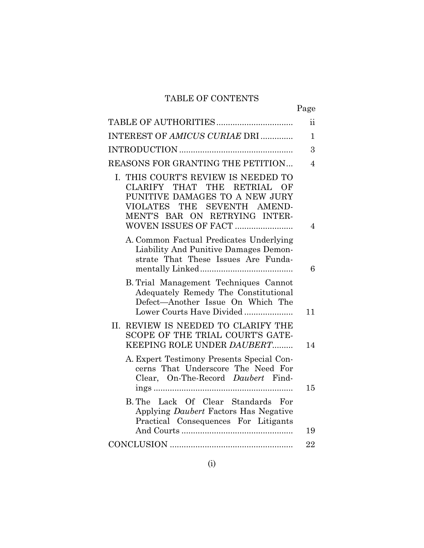# TABLE OF CONTENTS

|                                                                                                                                                                               | Page           |
|-------------------------------------------------------------------------------------------------------------------------------------------------------------------------------|----------------|
|                                                                                                                                                                               | ii.            |
| INTEREST OF AMICUS CURIAE DRI                                                                                                                                                 | $\mathbf{1}$   |
|                                                                                                                                                                               | 3              |
| REASONS FOR GRANTING THE PETITION                                                                                                                                             | $\overline{4}$ |
| I. THIS COURT'S REVIEW IS NEEDED TO<br>THAT<br>THE RETRIAL<br>CLARIFY<br>OF<br>PUNITIVE DAMAGES TO A NEW JURY<br>VIOLATES THE SEVENTH AMEND-<br>MENT'S BAR ON RETRYING INTER- | $\overline{4}$ |
| A. Common Factual Predicates Underlying<br>Liability And Punitive Damages Demon-<br>strate That These Issues Are Funda-                                                       | 6              |
| B. Trial Management Techniques Cannot<br>Adequately Remedy The Constitutional<br>Defect-Another Issue On Which The<br>Lower Courts Have Divided                               | 11             |
| II. REVIEW IS NEEDED TO CLARIFY THE<br>SCOPE OF THE TRIAL COURT'S GATE-<br>KEEPING ROLE UNDER DAUBERT                                                                         | 14             |
| A. Expert Testimony Presents Special Con-<br>cerns That Underscore The Need For<br>Clear, On-The-Record Daubert Find-                                                         | 15             |
| B. The Lack Of Clear Standards<br>For<br>Applying Daubert Factors Has Negative<br>Practical Consequences For Litigants                                                        | 19             |
|                                                                                                                                                                               | 22             |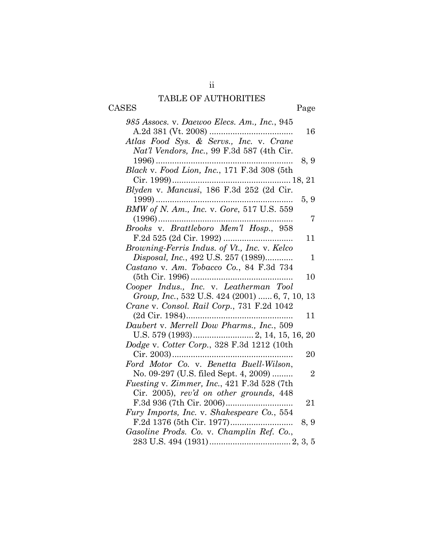# TABLE OF AUTHORITIES

ii

| CASES | Page |
|-------|------|
|-------|------|

| 985 Assocs. v. Daewoo Elecs. Am., Inc., 945             |  |
|---------------------------------------------------------|--|
| 16<br>Atlas Food Sys. & Servs., Inc. v. Crane           |  |
| Nat'l Vendors, Inc., 99 F.3d 587 (4th Cir.              |  |
| 8, 9                                                    |  |
|                                                         |  |
|                                                         |  |
|                                                         |  |
| 5, 9                                                    |  |
| BMW of N. Am., Inc. v. Gore, 517 U.S. 559               |  |
| 7<br>Brooks v. Brattleboro Mem'l Hosp., 958             |  |
| 11                                                      |  |
| Browning-Ferris Indus. of Vt., Inc. v. Kelco            |  |
| Disposal, Inc., 492 U.S. 257 (1989)<br>$\mathbf{1}$     |  |
| Castano v. Am. Tobacco Co., 84 F.3d 734                 |  |
| 10                                                      |  |
| Cooper Indus., Inc. v. Leatherman Tool                  |  |
| Group, Inc., 532 U.S. 424 (2001)  6, 7, 10,<br>13       |  |
| Crane v. Consol. Rail Corp., 731 F.2d 1042              |  |
| 11                                                      |  |
| Daubert v. Merrell Dow Pharms., Inc., 509               |  |
|                                                         |  |
| Dodge v. Cotter Corp., 328 F.3d 1212 (10th              |  |
| 20                                                      |  |
| Ford Motor Co. v. Benetta Buell-Wilson,                 |  |
| No. 09-297 (U.S. filed Sept. 4, 2009)<br>$\overline{2}$ |  |
| Fuesting v. Zimmer, Inc., 421 F.3d 528 (7th             |  |
| Cir. 2005), rev'd on other grounds, 448                 |  |
| 21                                                      |  |
| Fury Imports, Inc. v. Shakespeare Co., 554              |  |
| 8, 9                                                    |  |
| Gasoline Prods. Co. v. Champlin Ref. Co.,               |  |
|                                                         |  |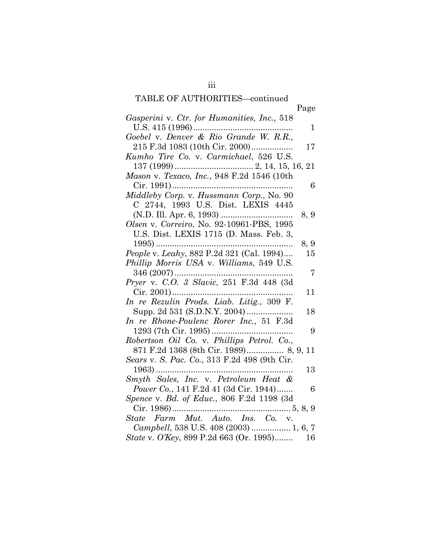# TABLE OF AUTHORITIES—continued

|                                                         | Page           |
|---------------------------------------------------------|----------------|
| Gasperini v. Ctr. for Humanities, Inc., 518             |                |
| U.S. 415 (1996)                                         | 1              |
| Goebel v. Denver & Rio Grande W. R.R.,                  |                |
| 215 F.3d 1083 (10th Cir. 2000)                          | $17 \,$        |
| Kumho Tire Co. v. Carmichael, 526 U.S.                  |                |
|                                                         |                |
| Mason v. Texaco, Inc., 948 F.2d 1546 (10th              |                |
|                                                         | 6              |
| Middleby Corp. v. Hussmann Corp., No. 90                |                |
| C 2744, 1993 U.S. Dist. LEXIS 4445                      |                |
|                                                         | 8, 9           |
| Olsen v. Correiro, No. 92-10961-PBS, 1995               |                |
| U.S. Dist. LEXIS 1715 (D. Mass. Feb. 3,                 |                |
| $1995)$                                                 | 8, 9           |
| People v. Leahy, 882 P.2d 321 (Cal. 1994)               | 15             |
| Phillip Morris USA v. Williams, 549 U.S.                |                |
|                                                         | $\overline{7}$ |
| Pryer v. C.O. 3 Slavic, 251 F.3d 448 (3d                |                |
|                                                         | 11             |
| Cir. 2001)<br>In re Rezulin Prods. Liab. Litig., 309 F. |                |
|                                                         |                |
|                                                         | 18             |
| In re Rhone-Poulenc Rorer Inc., 51 F.3d                 |                |
|                                                         | 9              |
| Robertson Oil Co. v. Phillips Petrol. Co.,              |                |
| 871 F.2d 1368 (8th Cir. 1989) 8, 9, 11                  |                |
| Sears v. S. Pac. Co., 313 F.2d 498 (9th Cir.            |                |
| $1963)$                                                 | 13             |
| Smyth Sales, Inc. v. Petroleum Heat &                   |                |
| Power Co., 141 F.2d 41 (3d Cir. 1944)                   | 6              |
| Spence v. Bd. of Educ., 806 F.2d 1198 (3d               |                |
|                                                         |                |
| State Farm Mut. Auto. Ins. Co. v.                       |                |
| Campbell, 538 U.S. 408 (2003)  1, 6, 7                  |                |
| State v. O'Key, 899 P.2d 663 (Or. 1995)                 | 16             |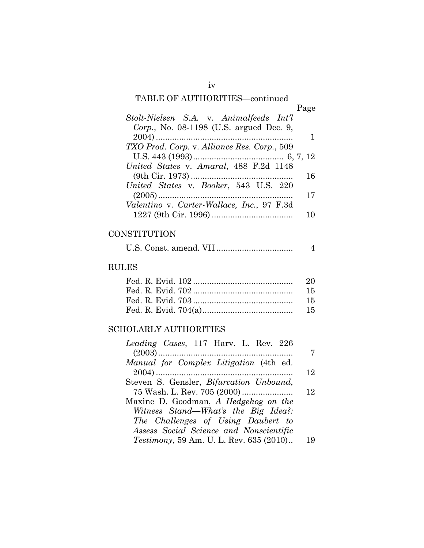# TABLE OF AUTHORITIES—continued

| Page |
|------|
|      |
|      |
|      |
|      |
|      |
|      |
| 16   |
|      |
| 17   |
|      |
| 10   |
|      |

# **CONSTITUTION**

|--|--|--|

# RULES

| 15 |
|----|
|    |

# SCHOLARLY AUTHORITIES

| 12 |
|----|
|    |
| 12 |
|    |
|    |
|    |
|    |
| 19 |
|    |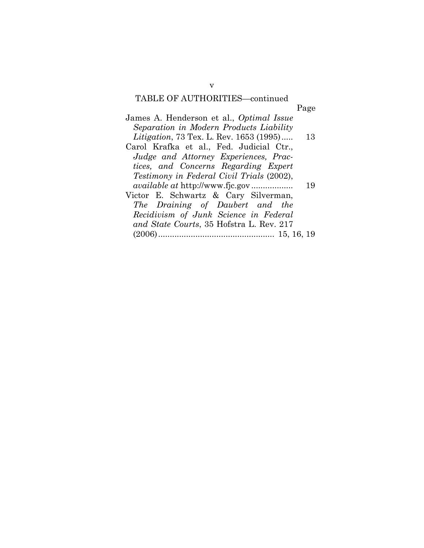## TABLE OF AUTHORITIES—continued

|                                                  | Page |
|--------------------------------------------------|------|
| James A. Henderson et al., Optimal Issue         |      |
| Separation in Modern Products Liability          |      |
| <i>Litigation</i> , 73 Tex. L. Rev. 1653 (1995)  | - 13 |
| Carol Krafka et al., Fed. Judicial Ctr.,         |      |
| Judge and Attorney Experiences, Prac-            |      |
| tices, and Concerns Regarding Expert             |      |
| <i>Testimony in Federal Civil Trials (2002),</i> |      |
| <i>available at http://www.fjc.gov</i>           | 19   |
| Victor E. Schwartz & Cary Silverman,             |      |
| The Draining of Daubert and the                  |      |
|                                                  |      |

Victor E. *The 1 Recidivism of Junk Science in Federal and State Courts*, 35 Hofstra L. Rev. 217 (2006).................................................. 15, 16, 19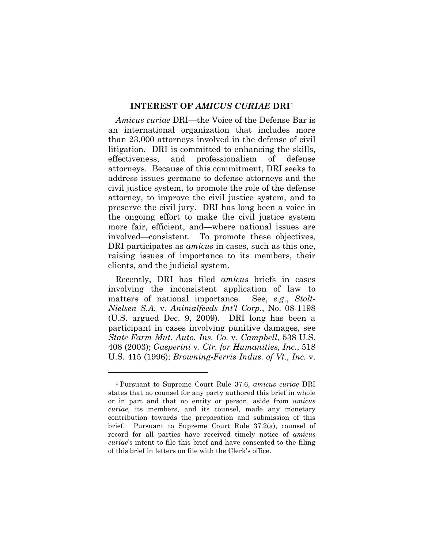#### **INTEREST OF** *AMICUS CURIAE* **DRI**[1](#page-6-0)

*Amicus curiae* DRI—the Voice of the Defense Bar is an international organization that includes more than 23,000 attorneys involved in the defense of civil litigation. DRI is committed to enhancing the skills, effectiveness, and professionalism of defense attorneys. Because of this commitment, DRI seeks to address issues germane to defense attorneys and the civil justice system, to promote the role of the defense attorney, to improve the civil justice system, and to preserve the civil jury. DRI has long been a voice in the ongoing effort to make the civil justice system more fair, efficient, and—where national issues are involved—consistent. To promote these objectives, DRI participates as *amicus* in cases, such as this one, raising issues of importance to its members, their clients, and the judicial system.

Recently, DRI has filed *amicus* briefs in cases involving the inconsistent application of law to matters of national importance. See, *e.g*., *Stolt-Nielsen S.A.* v. *Animalfeeds Int'l Corp.*, No. 08-1198 (U.S. argued Dec. 9, 2009). DRI long has been a participant in cases involving punitive damages, see *State Farm Mut. Auto. Ins. Co.* v. *Campbell*, 538 U.S. 408 (2003); *Gasperini* v. *Ctr. for Humanities, Inc.*, 518 U.S. 415 (1996); *Browning-Ferris Indus. of Vt., Inc.* v.

<span id="page-6-0"></span><sup>1</sup> Pursuant to Supreme Court Rule 37.6, *amicus curiae* DRI states that no counsel for any party authored this brief in whole or in part and that no entity or person, aside from *amicus curiae*, its members, and its counsel, made any monetary contribution towards the preparation and submission of this brief. Pursuant to Supreme Court Rule 37.2(a), counsel of record for all parties have received timely notice of *amicus curiae*'s intent to file this brief and have consented to the filing of this brief in letters on file with the Clerk's office.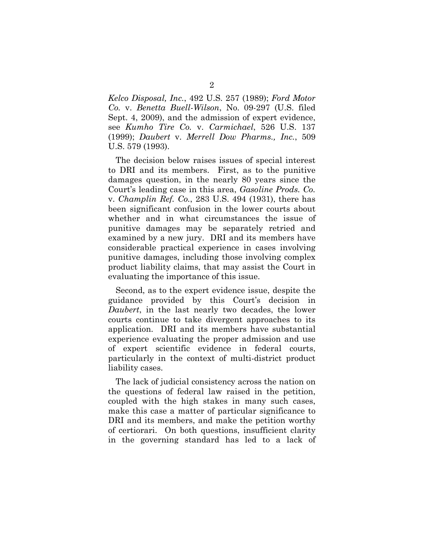*Kelco Disposal, Inc.*, 492 U.S. 257 (1989); *Ford Motor Co.* v. *Benetta Buell-Wilson*, No. 09-297 (U.S. filed Sept. 4, 2009), and the admission of expert evidence, see *Kumho Tire Co.* v. *Carmichael*, 526 U.S. 137 (1999); *Daubert* v. *Merrell Dow Pharms., Inc.*, 509 U.S. 579 (1993).

The decision below raises issues of special interest to DRI and its members. First, as to the punitive damages question, in the nearly 80 years since the Court's leading case in this area, *Gasoline Prods. Co.*  v. *Champlin Ref. Co.*, 283 U.S. 494 (1931), there has been significant confusion in the lower courts about whether and in what circumstances the issue of punitive damages may be separately retried and examined by a new jury. DRI and its members have considerable practical experience in cases involving punitive damages, including those involving complex product liability claims, that may assist the Court in evaluating the importance of this issue.

Second, as to the expert evidence issue, despite the guidance provided by this Court's decision in *Daubert*, in the last nearly two decades, the lower courts continue to take divergent approaches to its application. DRI and its members have substantial experience evaluating the proper admission and use of expert scientific evidence in federal courts, particularly in the context of multi-district product liability cases.

The lack of judicial consistency across the nation on the questions of federal law raised in the petition, coupled with the high stakes in many such cases, make this case a matter of particular significance to DRI and its members, and make the petition worthy of certiorari. On both questions, insufficient clarity in the governing standard has led to a lack of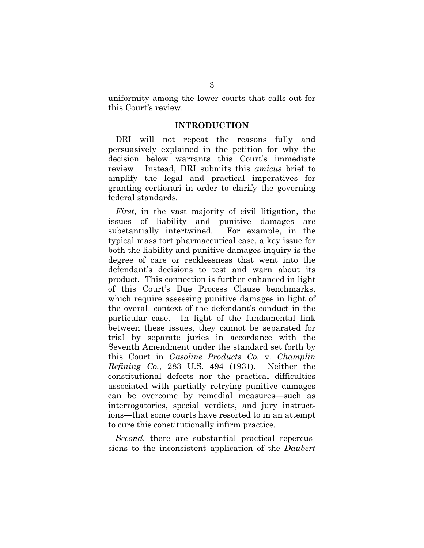uniformity among the lower courts that calls out for this Court's review.

#### **INTRODUCTION**

DRI will not repeat the reasons fully and persuasively explained in the petition for why the decision below warrants this Court's immediate review. Instead, DRI submits this *amicus* brief to amplify the legal and practical imperatives for granting certiorari in order to clarify the governing federal standards.

*First*, in the vast majority of civil litigation, the issues of liability and punitive damages are substantially intertwined. For example, in the typical mass tort pharmaceutical case, a key issue for both the liability and punitive damages inquiry is the degree of care or recklessness that went into the defendant's decisions to test and warn about its product. This connection is further enhanced in light of this Court's Due Process Clause benchmarks, which require assessing punitive damages in light of the overall context of the defendant's conduct in the particular case. In light of the fundamental link between these issues, they cannot be separated for trial by separate juries in accordance with the Seventh Amendment under the standard set forth by this Court in *Gasoline Products Co.* v. *Champlin Refining Co.*, 283 U.S. 494 (1931). Neither the constitutional defects nor the practical difficulties associated with partially retrying punitive damages can be overcome by remedial measures—such as interrogatories, special verdicts, and jury instructions—that some courts have resorted to in an attempt to cure this constitutionally infirm practice.

*Second*, there are substantial practical repercussions to the inconsistent application of the *Daubert*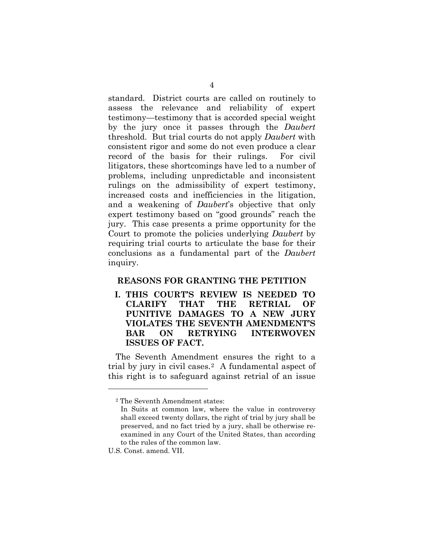standard. District courts are called on routinely to assess the relevance and reliability of expert testimony—testimony that is accorded special weight by the jury once it passes through the *Daubert*  threshold. But trial courts do not apply *Daubert* with consistent rigor and some do not even produce a clear record of the basis for their rulings. For civil litigators, these shortcomings have led to a number of problems, including unpredictable and inconsistent rulings on the admissibility of expert testimony, increased costs and inefficiencies in the litigation, and a weakening of *Daubert*'s objective that only expert testimony based on "good grounds" reach the jury. This case presents a prime opportunity for the Court to promote the policies underlying *Daubert* by requiring trial courts to articulate the base for their conclusions as a fundamental part of the *Daubert*  inquiry.

#### **REASONS FOR GRANTING THE PETITION**

**I. THIS COURT'S REVIEW IS NEEDED TO CLARIFY THAT THE RETRIAL OF PUNITIVE DAMAGES TO A NEW JURY VIOLATES THE SEVENTH AMENDMENT'S BAR ON RETRYING INTERWOVEN ISSUES OF FACT.**

The Seventh Amendment ensures the right to a trial by jury in civil cases.[2](#page-9-0) A fundamental aspect of this right is to safeguard against retrial of an issue

<span id="page-9-0"></span><sup>2</sup> The Seventh Amendment states:

In Suits at common law, where the value in controversy shall exceed twenty dollars, the right of trial by jury shall be preserved, and no fact tried by a jury, shall be otherwise reexamined in any Court of the United States, than according to the rules of the common law.

U.S. Const. amend. VII.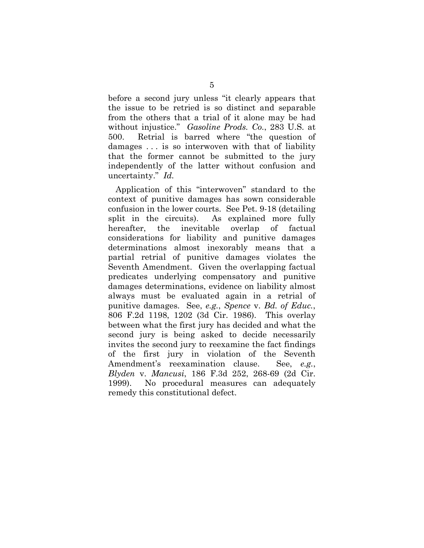before a second jury unless "it clearly appears that the issue to be retried is so distinct and separable from the others that a trial of it alone may be had without injustice." *Gasoline Prods. Co.*, 283 U.S. at 500. Retrial is barred where "the question of damages . . . is so interwoven with that of liability that the former cannot be submitted to the jury independently of the latter without confusion and uncertainty." *Id.*

Application of this "interwoven" standard to the context of punitive damages has sown considerable confusion in the lower courts. See Pet. 9-18 (detailing split in the circuits). As explained more fully hereafter, the inevitable overlap of factual considerations for liability and punitive damages determinations almost inexorably means that a partial retrial of punitive damages violates the Seventh Amendment. Given the overlapping factual predicates underlying compensatory and punitive damages determinations, evidence on liability almost always must be evaluated again in a retrial of punitive damages. See, *e.g.*, *Spence* v. *Bd. of Educ.*, 806 F.2d 1198, 1202 (3d Cir. 1986). This overlay between what the first jury has decided and what the second jury is being asked to decide necessarily invites the second jury to reexamine the fact findings of the first jury in violation of the Seventh Amendment's reexamination clause. See, *e.g.*, *Blyden* v. *Mancusi*, 186 F.3d 252, 268-69 (2d Cir. 1999). No procedural measures can adequately remedy this constitutional defect.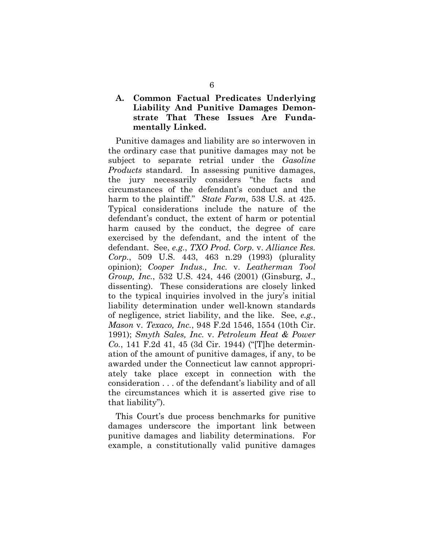## **A. Common Factual Predicates Underlying Liability And Punitive Damages Demonstrate That These Issues Are Fundamentally Linked.**

Punitive damages and liability are so interwoven in the ordinary case that punitive damages may not be subject to separate retrial under the *Gasoline Products* standard. In assessing punitive damages, the jury necessarily considers "the facts and circumstances of the defendant's conduct and the harm to the plaintiff." *State Farm*, 538 U.S. at 425. Typical considerations include the nature of the defendant's conduct, the extent of harm or potential harm caused by the conduct, the degree of care exercised by the defendant, and the intent of the defendant. See, *e.g.*, *TXO Prod. Corp.* v. *Alliance Res. Corp.*, 509 U.S. 443, 463 n.29 (1993) (plurality opinion); *Cooper Indus., Inc.* v. *Leatherman Tool Group, Inc.*, 532 U.S. 424, 446 (2001) (Ginsburg, J., dissenting). These considerations are closely linked to the typical inquiries involved in the jury's initial liability determination under well-known standards of negligence, strict liability, and the like. See, *e.g.*, *Mason* v. *Texaco, Inc.*, 948 F.2d 1546, 1554 (10th Cir. 1991); *Smyth Sales, Inc.* v. *Petroleum Heat & Power Co.*, 141 F.2d 41, 45 (3d Cir. 1944) ("[T]he determination of the amount of punitive damages, if any, to be awarded under the Connecticut law cannot appropriately take place except in connection with the consideration . . . of the defendant's liability and of all the circumstances which it is asserted give rise to that liability").

This Court's due process benchmarks for punitive damages underscore the important link between punitive damages and liability determinations. For example, a constitutionally valid punitive damages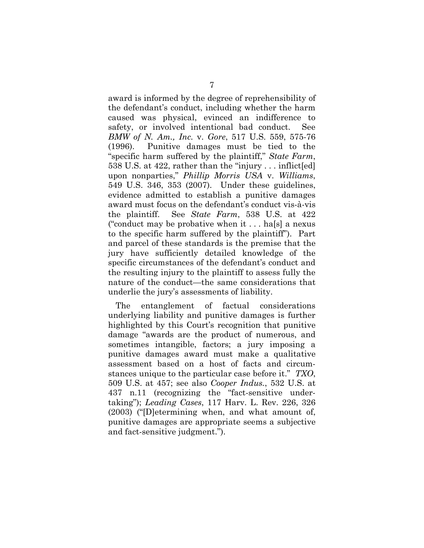award is informed by the degree of reprehensibility of the defendant's conduct, including whether the harm caused was physical, evinced an indifference to safety, or involved intentional bad conduct. See *BMW of N. Am., Inc.* v. *Gore*, 517 U.S. 559, 575-76 (1996). Punitive damages must be tied to the "specific harm suffered by the plaintiff," *State Farm*, 538 U.S. at 422, rather than the "injury . . . inflict[ed] upon nonparties," *Phillip Morris USA* v. *Williams*, 549 U.S. 346, 353 (2007). Under these guidelines, evidence admitted to establish a punitive damages award must focus on the defendant's conduct vis-à-vis the plaintiff. See *State Farm*, 538 U.S. at 422 ("conduct may be probative when it . . . ha[s] a nexus to the specific harm suffered by the plaintiff"). Part and parcel of these standards is the premise that the jury have sufficiently detailed knowledge of the specific circumstances of the defendant's conduct and the resulting injury to the plaintiff to assess fully the nature of the conduct—the same considerations that underlie the jury's assessments of liability.

The entanglement of factual considerations underlying liability and punitive damages is further highlighted by this Court's recognition that punitive damage "awards are the product of numerous, and sometimes intangible, factors; a jury imposing a punitive damages award must make a qualitative assessment based on a host of facts and circumstances unique to the particular case before it." *TXO*, 509 U.S. at 457; see also *Cooper Indus.*, 532 U.S. at 437 n.11 (recognizing the "fact-sensitive undertaking"); *Leading Cases*, 117 Harv. L. Rev. 226, 326 (2003) ("[D]etermining when, and what amount of, punitive damages are appropriate seems a subjective and fact-sensitive judgment.").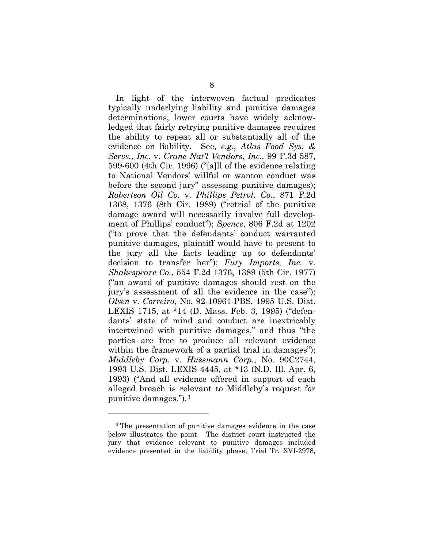In light of the interwoven factual predicates typically underlying liability and punitive damages determinations, lower courts have widely acknowledged that fairly retrying punitive damages requires the ability to repeat all or substantially all of the evidence on liability. See, *e.g.*, *Atlas Food Sys. & Servs., Inc.* v. *Crane Nat'l Vendors, Inc.,* 99 F.3d 587, 599-600 (4th Cir. 1996) ("[a]ll of the evidence relating to National Vendors' willful or wanton conduct was before the second jury" assessing punitive damages); *Robertson Oil Co.* v. *Phillips Petrol. Co.*, 871 F.2d 1368, 1376 (8th Cir. 1989) ("retrial of the punitive damage award will necessarily involve full development of Phillips' conduct"); *Spence*, 806 F.2d at 1202 ("to prove that the defendants' conduct warranted punitive damages, plaintiff would have to present to the jury all the facts leading up to defendants' decision to transfer her"); *Fury Imports, Inc.* v. *Shakespeare Co.*, 554 F.2d 1376, 1389 (5th Cir. 1977) ("an award of punitive damages should rest on the jury's assessment of all the evidence in the case"); *Olsen* v. *Correiro*, No. 92-10961-PBS, 1995 U.S. Dist. LEXIS 1715, at \*14 (D. Mass. Feb. 3, 1995) ("defendants' state of mind and conduct are inextricably intertwined with punitive damages," and thus "the parties are free to produce all relevant evidence within the framework of a partial trial in damages"); *Middleby Corp.* v. *Hussmann Corp.*, No. 90C2744, 1993 U.S. Dist. LEXIS 4445, at \*13 (N.D. Ill. Apr. 6, 1993) ("And all evidence offered in support of each alleged breach is relevant to Middleby's request for punitive damages.").[3](#page-13-0)

<span id="page-13-0"></span><sup>3</sup> The presentation of punitive damages evidence in the case below illustrates the point. The district court instructed the jury that evidence relevant to punitive damages included evidence presented in the liability phase, Trial Tr. XVI-2978,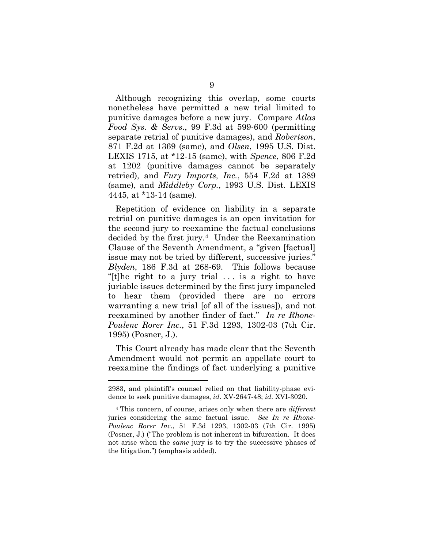Although recognizing this overlap, some courts nonetheless have permitted a new trial limited to punitive damages before a new jury. Compare *Atlas Food Sys. & Servs.*, 99 F.3d at 599-600 (permitting separate retrial of punitive damages), and *Robertson*, 871 F.2d at 1369 (same), and *Olsen*, 1995 U.S. Dist. LEXIS 1715, at \*12-15 (same), with *Spence*, 806 F.2d at 1202 (punitive damages cannot be separately retried), and *Fury Imports, Inc.*, 554 F.2d at 1389 (same), and *Middleby Corp.*, 1993 U.S. Dist. LEXIS 4445, at \*13-14 (same).

Repetition of evidence on liability in a separate retrial on punitive damages is an open invitation for the second jury to reexamine the factual conclusions decided by the first jury.[4](#page-14-0) Under the Reexamination Clause of the Seventh Amendment, a "given [factual] issue may not be tried by different, successive juries." *Blyden*, 186 F.3d at 268-69. This follows because "[t]he right to a jury trial . . . is a right to have juriable issues determined by the first jury impaneled to hear them (provided there are no errors warranting a new trial [of all of the issues]), and not reexamined by another finder of fact." *In re Rhone-Poulenc Rorer Inc.*, 51 F.3d 1293, 1302-03 (7th Cir. 1995) (Posner, J.).

This Court already has made clear that the Seventh Amendment would not permit an appellate court to reexamine the findings of fact underlying a punitive

<sup>2983,</sup> and plaintiff's counsel relied on that liability-phase evidence to seek punitive damages, *id.* XV-2647-48; *id.* XVI-3020.

<span id="page-14-0"></span><sup>4</sup> This concern, of course, arises only when there are *different* juries considering the same factual issue. *See In re Rhone-Poulenc Rorer Inc.*, 51 F.3d 1293, 1302-03 (7th Cir. 1995) (Posner, J.) ("The problem is not inherent in bifurcation. It does not arise when the *same* jury is to try the successive phases of the litigation.") (emphasis added).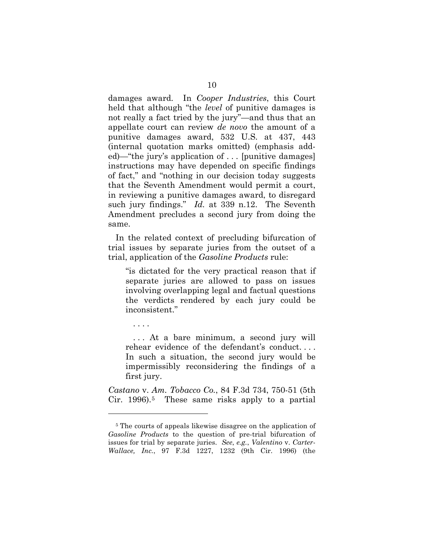damages award. In *Cooper Industries*, this Court held that although "the *level* of punitive damages is not really a fact tried by the jury"—and thus that an appellate court can review *de novo* the amount of a punitive damages award, 532 U.S. at 437, 443 (internal quotation marks omitted) (emphasis added)—"the jury's application of . . . [punitive damages] instructions may have depended on specific findings of fact," and "nothing in our decision today suggests that the Seventh Amendment would permit a court, in reviewing a punitive damages award, to disregard such jury findings." *Id.* at 339 n.12. The Seventh Amendment precludes a second jury from doing the same.

In the related context of precluding bifurcation of trial issues by separate juries from the outset of a trial, application of the *Gasoline Products* rule:

"is dictated for the very practical reason that if separate juries are allowed to pass on issues involving overlapping legal and factual questions the verdicts rendered by each jury could be inconsistent."

. . . .

 $\overline{a}$ 

. . . At a bare minimum, a second jury will rehear evidence of the defendant's conduct. . . . In such a situation, the second jury would be impermissibly reconsidering the findings of a first jury.

*Castano* v. *Am. Tobacco Co.*, 84 F.3d 734, 750-51 (5th Cir. 1996).[5](#page-15-0) These same risks apply to a partial

<span id="page-15-0"></span><sup>5</sup> The courts of appeals likewise disagree on the application of *Gasoline Products* to the question of pre-trial bifurcation of issues for trial by separate juries. *See*, *e.g.*, *Valentino* v. *Carter-Wallace, Inc.*, 97 F.3d 1227, 1232 (9th Cir. 1996) (the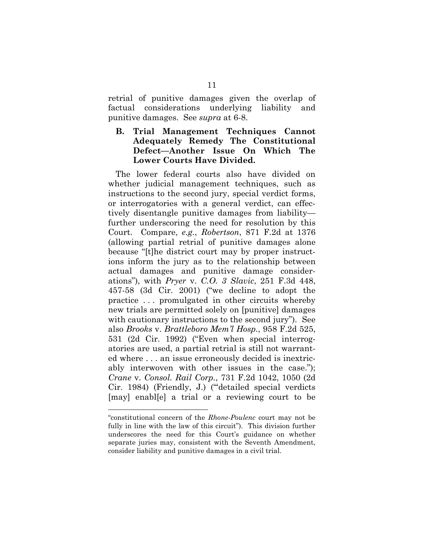retrial of punitive damages given the overlap of factual considerations underlying liability and punitive damages. See *supra* at 6-8.

## **B. Trial Management Techniques Cannot Adequately Remedy The Constitutional Defect—Another Issue On Which The Lower Courts Have Divided.**

The lower federal courts also have divided on whether judicial management techniques, such as instructions to the second jury, special verdict forms, or interrogatories with a general verdict, can effectively disentangle punitive damages from liability further underscoring the need for resolution by this Court. Compare, *e.g.*, *Robertson*, 871 F.2d at 1376 (allowing partial retrial of punitive damages alone because "[t]he district court may by proper instructions inform the jury as to the relationship between actual damages and punitive damage considerations"), with *Pryer* v. *C.O. 3 Slavic*, 251 F.3d 448, 457-58 (3d Cir. 2001) ("we decline to adopt the practice . . . promulgated in other circuits whereby new trials are permitted solely on [punitive] damages with cautionary instructions to the second jury"). See also *Brooks* v. *Brattleboro Mem'l Hosp.*, 958 F.2d 525, 531 (2d Cir. 1992) ("Even when special interrogatories are used, a partial retrial is still not warranted where . . . an issue erroneously decided is inextricably interwoven with other issues in the case."); *Crane* v. *Consol. Rail Corp.*, 731 F.2d 1042, 1050 (2d Cir. 1984) (Friendly, J.) ("'detailed special verdicts [may] enabl[e] a trial or a reviewing court to be

<sup>&</sup>quot;constitutional concern of the *Rhone-Poulenc* court may not be fully in line with the law of this circuit"). This division further underscores the need for this Court's guidance on whether separate juries may, consistent with the Seventh Amendment, consider liability and punitive damages in a civil trial.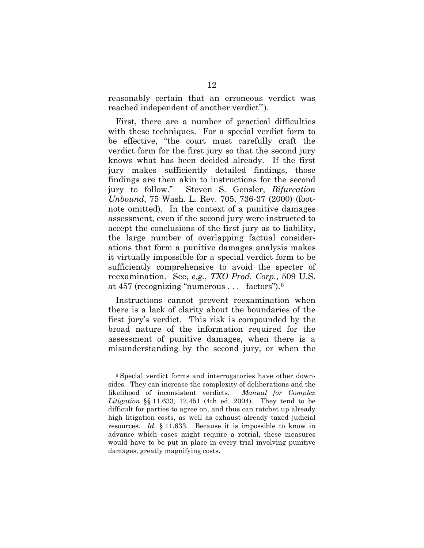reasonably certain that an erroneous verdict was reached independent of another verdict'").

First, there are a number of practical difficulties with these techniques. For a special verdict form to be effective, "the court must carefully craft the verdict form for the first jury so that the second jury knows what has been decided already. If the first jury makes sufficiently detailed findings, those findings are then akin to instructions for the second jury to follow." Steven S. Gensler, *Bifurcation Unbound*, 75 Wash. L. Rev. 705, 736-37 (2000) (footnote omitted). In the context of a punitive damages assessment, even if the second jury were instructed to accept the conclusions of the first jury as to liability, the large number of overlapping factual considerations that form a punitive damages analysis makes it virtually impossible for a special verdict form to be sufficiently comprehensive to avoid the specter of reexamination. See, *e.g.*, *TXO Prod. Corp.*, 509 U.S. at 457 (recognizing "numerous . . . factors").[6](#page-17-0)

Instructions cannot prevent reexamination when there is a lack of clarity about the boundaries of the first jury's verdict. This risk is compounded by the broad nature of the information required for the assessment of punitive damages, when there is a misunderstanding by the second jury, or when the

<span id="page-17-0"></span><sup>6</sup> Special verdict forms and interrogatories have other downsides. They can increase the complexity of deliberations and the likelihood of inconsistent verdicts. *Manual for Complex Litigation* §§ 11.633, 12.451 (4th ed. 2004). They tend to be difficult for parties to agree on, and thus can ratchet up already high litigation costs, as well as exhaust already taxed judicial resources. *Id.* § 11.633.Because it is impossible to know in advance which cases might require a retrial, these measures would have to be put in place in every trial involving punitive damages, greatly magnifying costs.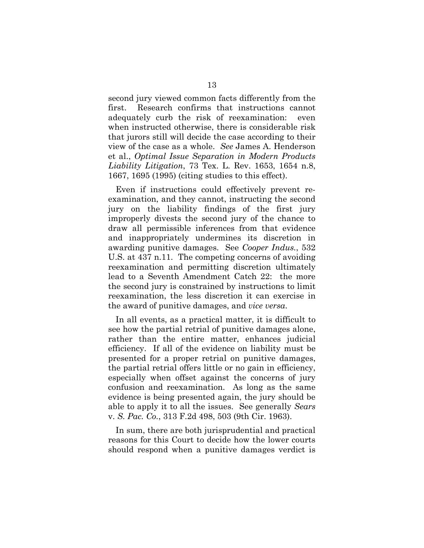second jury viewed common facts differently from the first. Research confirms that instructions cannot adequately curb the risk of reexamination: even when instructed otherwise, there is considerable risk that jurors still will decide the case according to their view of the case as a whole. *See* James A. Henderson et al., *Optimal Issue Separation in Modern Products Liability Litigation*, 73 Tex. L. Rev. 1653, 1654 n.8, 1667, 1695 (1995) (citing studies to this effect).

Even if instructions could effectively prevent reexamination, and they cannot, instructing the second jury on the liability findings of the first jury improperly divests the second jury of the chance to draw all permissible inferences from that evidence and inappropriately undermines its discretion in awarding punitive damages. See *Cooper Indus.*, 532 U.S. at 437 n.11. The competing concerns of avoiding reexamination and permitting discretion ultimately lead to a Seventh Amendment Catch 22: the more the second jury is constrained by instructions to limit reexamination, the less discretion it can exercise in the award of punitive damages, and *vice versa*.

In all events, as a practical matter, it is difficult to see how the partial retrial of punitive damages alone, rather than the entire matter, enhances judicial efficiency. If all of the evidence on liability must be presented for a proper retrial on punitive damages, the partial retrial offers little or no gain in efficiency, especially when offset against the concerns of jury confusion and reexamination. As long as the same evidence is being presented again, the jury should be able to apply it to all the issues. See generally *Sears*  v. *S. Pac. Co.*, 313 F.2d 498, 503 (9th Cir. 1963).

In sum, there are both jurisprudential and practical reasons for this Court to decide how the lower courts should respond when a punitive damages verdict is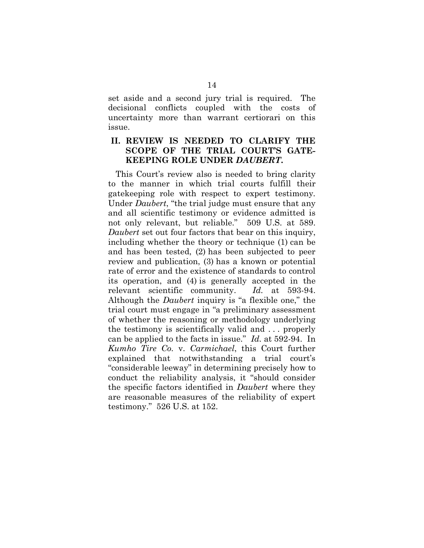set aside and a second jury trial is required. The decisional conflicts coupled with the costs of uncertainty more than warrant certiorari on this issue.

### **II. REVIEW IS NEEDED TO CLARIFY THE SCOPE OF THE TRIAL COURT'S GATE-KEEPING ROLE UNDER** *DAUBERT***.**

This Court's review also is needed to bring clarity to the manner in which trial courts fulfill their gatekeeping role with respect to expert testimony*.*  Under *Daubert*, "the trial judge must ensure that any and all scientific testimony or evidence admitted is not only relevant, but reliable." 509 U.S. at 589. *Daubert* set out four factors that bear on this inquiry, including whether the theory or technique (1) can be and has been tested, (2) has been subjected to peer review and publication, (3) has a known or potential rate of error and the existence of standards to control its operation, and (4) is generally accepted in the relevant scientific community. *Id.* at 593-94. Although the *Daubert* inquiry is "a flexible one," the trial court must engage in "a preliminary assessment of whether the reasoning or methodology underlying the testimony is scientifically valid and . . . properly can be applied to the facts in issue." *Id.* at 592-94. In *Kumho Tire Co.* v. *Carmichael*, this Court further explained that notwithstanding a trial court's "considerable leeway" in determining precisely how to conduct the reliability analysis, it "should consider the specific factors identified in *Daubert* where they are reasonable measures of the reliability of expert testimony." 526 U.S. at 152.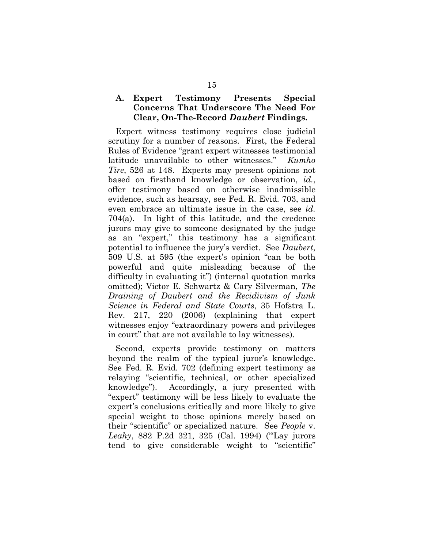### **A. Expert Testimony Presents Special Concerns That Underscore The Need For Clear, On-The-Record** *Daubert* **Findings.**

Expert witness testimony requires close judicial scrutiny for a number of reasons. First, the Federal Rules of Evidence "grant expert witnesses testimonial latitude unavailable to other witnesses." *Kumho Tire*, 526 at 148. Experts may present opinions not based on firsthand knowledge or observation, *id.*, offer testimony based on otherwise inadmissible evidence, such as hearsay, see Fed. R. Evid. 703, and even embrace an ultimate issue in the case, see *id.* 704(a). In light of this latitude, and the credence jurors may give to someone designated by the judge as an "expert," this testimony has a significant potential to influence the jury's verdict. See *Daubert*, 509 U.S. at 595 (the expert's opinion "can be both powerful and quite misleading because of the difficulty in evaluating it") (internal quotation marks omitted); Victor E. Schwartz & Cary Silverman, *The Draining of Daubert and the Recidivism of Junk Science in Federal and State Courts*, 35 Hofstra L. Rev. 217, 220 (2006) (explaining that expert witnesses enjoy "extraordinary powers and privileges in court" that are not available to lay witnesses).

Second, experts provide testimony on matters beyond the realm of the typical juror's knowledge. See Fed. R. Evid. 702 (defining expert testimony as relaying "scientific, technical, or other specialized knowledge"). Accordingly, a jury presented with "expert" testimony will be less likely to evaluate the expert's conclusions critically and more likely to give special weight to those opinions merely based on their "scientific" or specialized nature. See *People* v. *Leahy*, 882 P.2d 321, 325 (Cal. 1994) ("'Lay jurors tend to give considerable weight to "scientific"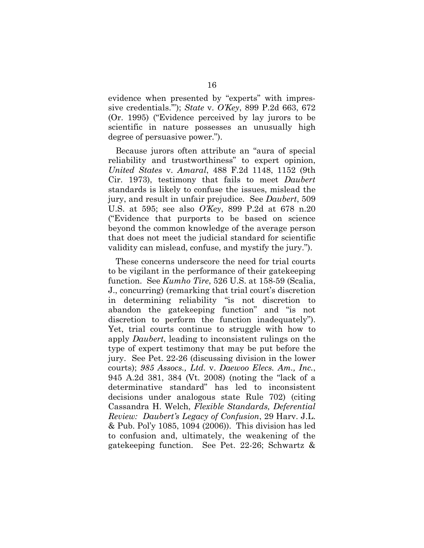evidence when presented by "experts" with impressive credentials.'"); *State* v. *O'Key*, 899 P.2d 663, 672 (Or. 1995) ("Evidence perceived by lay jurors to be scientific in nature possesses an unusually high degree of persuasive power.").

Because jurors often attribute an "aura of special reliability and trustworthiness" to expert opinion, *United States* v. *Amaral*, 488 F.2d 1148, 1152 (9th Cir. 1973), testimony that fails to meet *Daubert* standards is likely to confuse the issues, mislead the jury, and result in unfair prejudice. See *Daubert*, 509 U.S. at 595; see also *O'Key*, 899 P.2d at 678 n.20 ("Evidence that purports to be based on science beyond the common knowledge of the average person that does not meet the judicial standard for scientific validity can mislead, confuse, and mystify the jury.").

These concerns underscore the need for trial courts to be vigilant in the performance of their gatekeeping function. See *Kumho Tire*, 526 U.S. at 158-59 (Scalia, J., concurring) (remarking that trial court's discretion in determining reliability "is not discretion to abandon the gatekeeping function" and "is not discretion to perform the function inadequately"). Yet, trial courts continue to struggle with how to apply *Daubert*, leading to inconsistent rulings on the type of expert testimony that may be put before the jury. See Pet. 22-26 (discussing division in the lower courts); *985 Assocs., Ltd.* v. *Daewoo Elecs. Am., Inc.*, 945 A.2d 381, 384 (Vt. 2008) (noting the "lack of a determinative standard" has led to inconsistent decisions under analogous state Rule 702) (citing Cassandra H. Welch, *Flexible Standards, Deferential Review: Daubert's Legacy of Confusion*, 29 Harv. J.L. & Pub. Pol'y 1085, 1094 (2006)). This division has led to confusion and, ultimately, the weakening of the gatekeeping function. See Pet. 22-26; Schwartz &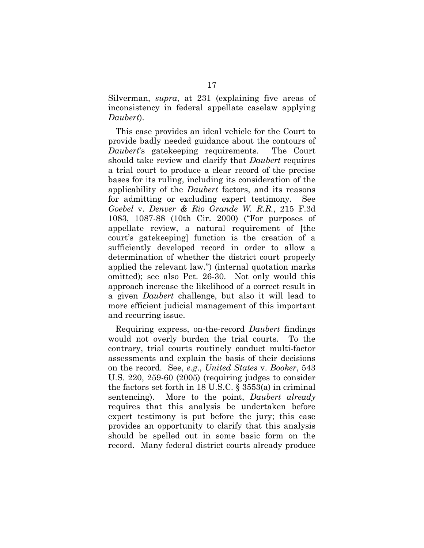Silverman, *supra*, at 231 (explaining five areas of inconsistency in federal appellate caselaw applying *Daubert*).

This case provides an ideal vehicle for the Court to provide badly needed guidance about the contours of *Daubert*'s gatekeeping requirements. The Court should take review and clarify that *Daubert* requires a trial court to produce a clear record of the precise bases for its ruling, including its consideration of the applicability of the *Daubert* factors, and its reasons for admitting or excluding expert testimony. See *Goebel* v. *Denver & Rio Grande W. R.R.*, 215 F.3d 1083, 1087-88 (10th Cir. 2000) ("For purposes of appellate review, a natural requirement of [the court's gatekeeping] function is the creation of a sufficiently developed record in order to allow a determination of whether the district court properly applied the relevant law.") (internal quotation marks omitted); see also Pet. 26-30. Not only would this approach increase the likelihood of a correct result in a given *Daubert* challenge, but also it will lead to more efficient judicial management of this important and recurring issue.

Requiring express, on-the-record *Daubert* findings would not overly burden the trial courts. To the contrary, trial courts routinely conduct multi-factor assessments and explain the basis of their decisions on the record. See, *e.g*., *United States* v. *Booker*, 543 U.S. 220, 259-60 (2005) (requiring judges to consider the factors set forth in 18 U.S.C. § 3553(a) in criminal sentencing). More to the point, *Daubert already*  requires that this analysis be undertaken before expert testimony is put before the jury; this case provides an opportunity to clarify that this analysis should be spelled out in some basic form on the record. Many federal district courts already produce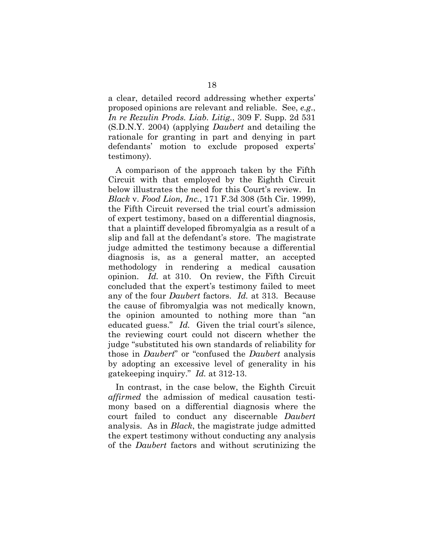a clear, detailed record addressing whether experts' proposed opinions are relevant and reliable. See, *e.g*., *In re Rezulin Prods. Liab. Litig.*, 309 F. Supp. 2d 531 (S.D.N.Y. 2004) (applying *Daubert* and detailing the rationale for granting in part and denying in part defendants' motion to exclude proposed experts' testimony).

A comparison of the approach taken by the Fifth Circuit with that employed by the Eighth Circuit below illustrates the need for this Court's review. In *Black* v. *Food Lion, Inc.*, 171 F.3d 308 (5th Cir. 1999), the Fifth Circuit reversed the trial court's admission of expert testimony, based on a differential diagnosis, that a plaintiff developed fibromyalgia as a result of a slip and fall at the defendant's store. The magistrate judge admitted the testimony because a differential diagnosis is, as a general matter, an accepted methodology in rendering a medical causation opinion. *Id.* at 310. On review, the Fifth Circuit concluded that the expert's testimony failed to meet any of the four *Daubert* factors. *Id.* at 313. Because the cause of fibromyalgia was not medically known, the opinion amounted to nothing more than "an educated guess." *Id.* Given the trial court's silence, the reviewing court could not discern whether the judge "substituted his own standards of reliability for those in *Daubert*" or "confused the *Daubert* analysis by adopting an excessive level of generality in his gatekeeping inquiry." *Id.* at 312-13.

In contrast, in the case below, the Eighth Circuit *affirmed* the admission of medical causation testimony based on a differential diagnosis where the court failed to conduct any discernable *Daubert*  analysis. As in *Black*, the magistrate judge admitted the expert testimony without conducting any analysis of the *Daubert* factors and without scrutinizing the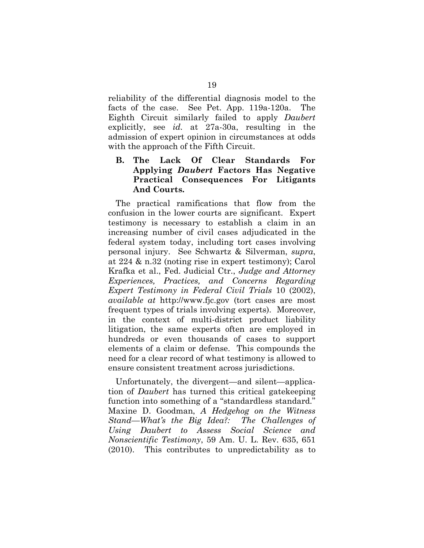reliability of the differential diagnosis model to the facts of the case. See Pet. App. 119a-120a. The Eighth Circuit similarly failed to apply *Daubert*  explicitly, see *id.* at 27a-30a, resulting in the admission of expert opinion in circumstances at odds with the approach of the Fifth Circuit.

## **B. The Lack Of Clear Standards For Applying** *Daubert* **Factors Has Negative Practical Consequences For Litigants And Courts.**

The practical ramifications that flow from the confusion in the lower courts are significant. Expert testimony is necessary to establish a claim in an increasing number of civil cases adjudicated in the federal system today, including tort cases involving personal injury. See Schwartz & Silverman, *supra*, at 224 & n.32 (noting rise in expert testimony); Carol Krafka et al., Fed. Judicial Ctr., *Judge and Attorney Experiences, Practices, and Concerns Regarding Expert Testimony in Federal Civil Trials* 10 (2002), *available at* http://www.fjc.gov (tort cases are most frequent types of trials involving experts). Moreover, in the context of multi-district product liability litigation, the same experts often are employed in hundreds or even thousands of cases to support elements of a claim or defense. This compounds the need for a clear record of what testimony is allowed to ensure consistent treatment across jurisdictions.

Unfortunately, the divergent—and silent—application of *Daubert* has turned this critical gatekeeping function into something of a "standardless standard." Maxine D. Goodman, *A Hedgehog on the Witness Stand—What's the Big Idea?: The Challenges of Using Daubert to Assess Social Science and Nonscientific Testimony*, 59 Am. U. L. Rev. 635, 651 (2010). This contributes to unpredictability as to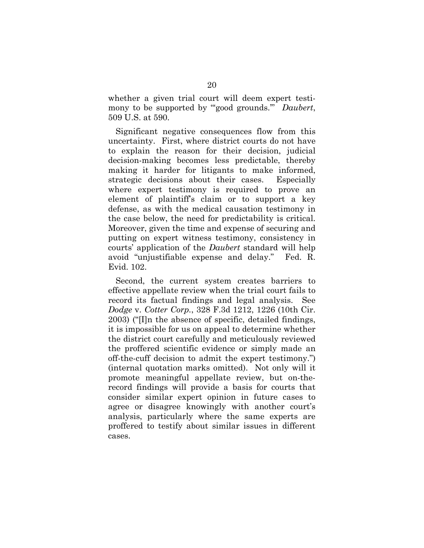whether a given trial court will deem expert testimony to be supported by "'good grounds.'" *Daubert*, 509 U.S. at 590.

Significant negative consequences flow from this uncertainty. First, where district courts do not have to explain the reason for their decision, judicial decision-making becomes less predictable, thereby making it harder for litigants to make informed, strategic decisions about their cases. Especially where expert testimony is required to prove an element of plaintiff's claim or to support a key defense, as with the medical causation testimony in the case below, the need for predictability is critical. Moreover, given the time and expense of securing and putting on expert witness testimony, consistency in courts' application of the *Daubert* standard will help avoid "unjustifiable expense and delay." Fed. R. Evid. 102.

Second, the current system creates barriers to effective appellate review when the trial court fails to record its factual findings and legal analysis. See *Dodge* v. *Cotter Corp.*, 328 F.3d 1212, 1226 (10th Cir. 2003) ("[I]n the absence of specific, detailed findings, it is impossible for us on appeal to determine whether the district court carefully and meticulously reviewed the proffered scientific evidence or simply made an off-the-cuff decision to admit the expert testimony.") (internal quotation marks omitted). Not only will it promote meaningful appellate review, but on-therecord findings will provide a basis for courts that consider similar expert opinion in future cases to agree or disagree knowingly with another court's analysis, particularly where the same experts are proffered to testify about similar issues in different cases.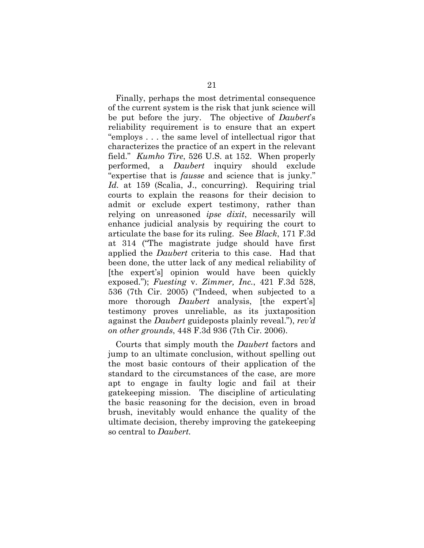Finally, perhaps the most detrimental consequence of the current system is the risk that junk science will be put before the jury. The objective of *Daubert*'s reliability requirement is to ensure that an expert "employs . . . the same level of intellectual rigor that characterizes the practice of an expert in the relevant field." *Kumho Tire*, 526 U.S. at 152. When properly performed, a *Daubert* inquiry should exclude "expertise that is *fausse* and science that is junky." *Id.* at 159 (Scalia, J., concurring). Requiring trial courts to explain the reasons for their decision to admit or exclude expert testimony, rather than relying on unreasoned *ipse dixit*, necessarily will enhance judicial analysis by requiring the court to articulate the base for its ruling. See *Black*, 171 F.3d at 314 ("The magistrate judge should have first applied the *Daubert* criteria to this case. Had that been done, the utter lack of any medical reliability of [the expert's] opinion would have been quickly exposed."); *Fuesting* v. *Zimmer, Inc.*, 421 F.3d 528, 536 (7th Cir. 2005) ("Indeed, when subjected to a more thorough *Daubert* analysis, [the expert's] testimony proves unreliable, as its juxtaposition against the *Daubert* guideposts plainly reveal."), *rev'd on other grounds*, 448 F.3d 936 (7th Cir. 2006).

Courts that simply mouth the *Daubert* factors and jump to an ultimate conclusion, without spelling out the most basic contours of their application of the standard to the circumstances of the case, are more apt to engage in faulty logic and fail at their gatekeeping mission. The discipline of articulating the basic reasoning for the decision, even in broad brush, inevitably would enhance the quality of the ultimate decision, thereby improving the gatekeeping so central to *Daubert.*